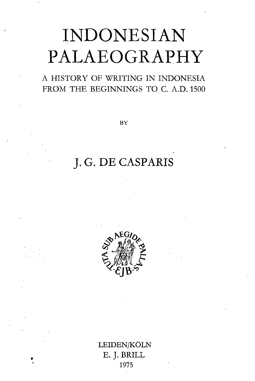## INDONESIAN PALAEOGRAPHY

A HISTORY OF WRITING IN INDONESIA FROM THE BEGINNINGS TO C. A.D. 1500

**BY**

## J. G. DE CASPARIS



LEIDEN/KOLN E. J. BRILL 1975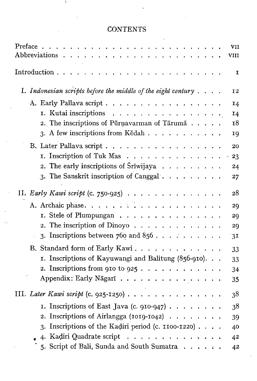## **CONTENTS**

۸

|                                                                                                | VII       |
|------------------------------------------------------------------------------------------------|-----------|
| Abbreviations<br>$\mathbf{r} = \mathbf{r} + \mathbf{r} + \mathbf{r} + \mathbf{r} + \mathbf{r}$ | VIII      |
| Introduction                                                                                   | I         |
| I. Indonesian scripts before the middle of the eight century $\ldots$ .                        | 12        |
| A. Early Pallava script                                                                        | 14        |
| I. Kutai inscriptions                                                                          | 14        |
| 2. The inscriptions of Pūrnavarman of Tārumā                                                   | <b>18</b> |
| 3. A few inscriptions from Kědah                                                               | 19        |
| B. Later Pallava script                                                                        | 20        |
| I. Inscription of Tuk Mas                                                                      | 23        |
| 2. The early inscriptions of Sriwijaya $\ldots$                                                | 24        |
| 3. The Sanskrit inscription of Canggal                                                         | 27        |
|                                                                                                |           |
| II. Early Kawi script (c. 750-925) $\ldots \ldots \ldots \ldots$                               | 28        |
| A. Archaic phase                                                                               | 29        |
| I. Stele of Plumpungan                                                                         | 29        |
| 2. The inscription of Dinoyo                                                                   | 29        |
| 3. Inscriptions between $760$ and $856$                                                        | 3I        |
| B. Standard form of Early Kawi.                                                                | 33        |
| 1. Inscriptions of Kayuwangi and Balitung (856-910).                                           | 33        |
| 2. Inscriptions from 910 to 925                                                                | 34        |
| Appendix: Early Nāgarī                                                                         | 35        |
| III. Later Kawi script (c. 925-1250)                                                           | 38        |
| I. Inscriptions of East Java (c. 910-947)                                                      | 38        |
| 2. Inscriptions of Airlangga (1019-1042) $\ldots \ldots$                                       | 39        |
| 3. Inscriptions of the Kadiri period (c. 1100-1220)                                            | 40        |
| 4. Kadiri Quadrate script $\ldots$                                                             | 42        |
| 5. Script of Bali, Sunda and South Sumatra                                                     | 42        |